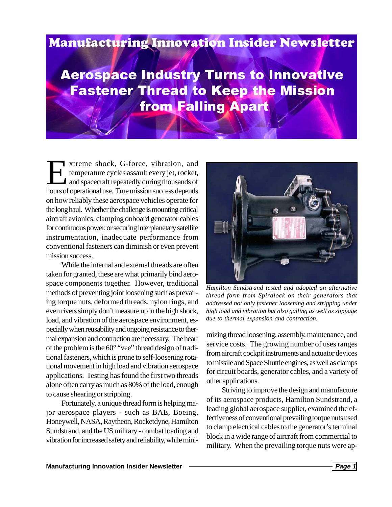## **Manufacturing Innovation Insider Newsletter**

**Aerospace Industry Turns to Innovative Fastener Thread to Keep the Mission from Falling Apart** 

xtreme shock, G-force, vibration, and<br>temperature cycles assault every jet, rocket,<br>and spacecraft repeatedly during thousands of<br>hours of operational use. The mission success depends temperature cycles assault every jet, rocket, and spacecraft repeatedly during thousands of hours of operational use. True mission success depends on how reliably these aerospace vehicles operate for the long haul. Whether the challenge is mounting critical aircraft avionics, clamping onboard generator cables for continuous power, or securing interplanetary satellite instrumentation, inadequate performance from conventional fasteners can diminish or even prevent mission success.

While the internal and external threads are often taken for granted, these are what primarily bind aerospace components together. However, traditional methods of preventing joint loosening such as prevailing torque nuts, deformed threads, nylon rings, and even rivets simply don't measure up in the high shock, load, and vibration of the aerospace environment, especially when reusability and ongoing resistance to thermal expansion and contraction are necessary. The heart of the problem is the 60° "vee" thread design of traditional fasteners, which is prone to self-loosening rotational movement in high load and vibration aerospace applications. Testing has found the first two threads alone often carry as much as 80% of the load, enough to cause shearing or stripping.

Fortunately, a unique thread form is helping major aerospace players - such as BAE, Boeing, Honeywell, NASA, Raytheon, Rocketdyne, Hamilton Sundstrand, and the US military - combat loading and vibration for increased safety and reliability, while mini-



*Hamilton Sundstrand tested and adopted an alternative thread form from Spiralock on their generators that addressed not only fastener loosening and stripping under high load and vibration but also galling as well as slippage due to thermal expansion and contraction.*

mizing thread loosening, assembly, maintenance, and service costs. The growing number of uses ranges from aircraft cockpit instruments and actuator devices to missile and Space Shuttle engines, as well as clamps for circuit boards, generator cables, and a variety of other applications.

Striving to improve the design and manufacture of its aerospace products, Hamilton Sundstrand, a leading global aerospace supplier, examined the effectiveness of conventional prevailing torque nuts used to clamp electrical cables to the generator's terminal block in a wide range of aircraft from commercial to military. When the prevailing torque nuts were ap-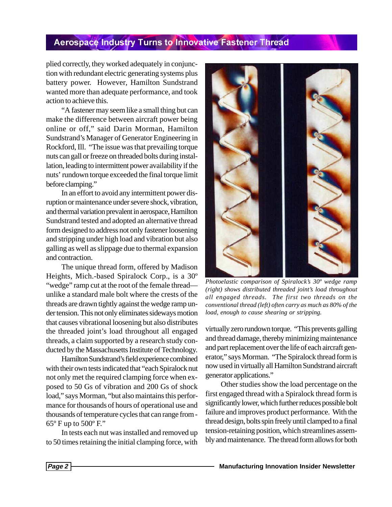## Aerospace Industry Turns to Innovative Fastener Thread

plied correctly, they worked adequately in conjunction with redundant electric generating systems plus battery power. However, Hamilton Sundstrand wanted more than adequate performance, and took action to achieve this.

"A fastener may seem like a small thing but can make the difference between aircraft power being online or off," said Darin Morman, Hamilton Sundstrand's Manager of Generator Engineering in Rockford, Ill. "The issue was that prevailing torque nuts can gall or freeze on threaded bolts during installation, leading to intermittent power availability if the nuts' rundown torque exceeded the final torque limit before clamping."

In an effort to avoid any intermittent power disruption or maintenance under severe shock, vibration, and thermal variation prevalent in aerospace, Hamilton Sundstrand tested and adopted an alternative thread form designed to address not only fastener loosening and stripping under high load and vibration but also galling as well as slippage due to thermal expansion and contraction.

The unique thread form, offered by Madison Heights, Mich.-based Spiralock Corp., is a 30º "wedge" ramp cut at the root of the female thread unlike a standard male bolt where the crests of the threads are drawn tightly against the wedge ramp under tension. This not only eliminates sideways motion that causes vibrational loosening but also distributes the threaded joint's load throughout all engaged threads, a claim supported by a research study conducted by the Massachusetts Institute of Technology.

Hamilton Sundstrand's field experience combined with their own tests indicated that "each Spiralock nut not only met the required clamping force when exposed to 50 Gs of vibration and 200 Gs of shock load," says Morman, "but also maintains this performance for thousands of hours of operational use and thousands of temperature cycles that can range from -  $65^{\circ}$  F up to  $500^{\circ}$  F."

In tests each nut was installed and removed up to 50 times retaining the initial clamping force, with



*Photoelastic comparison of Spiralock's 30º wedge ramp (right) shows distributed threaded joint's load throughout all engaged threads. The first two threads on the conventional thread (left) often carry as much as 80% of the load, enough to cause shearing or stripping.*

virtually zero rundown torque. "This prevents galling and thread damage, thereby minimizing maintenance and part replacement over the life of each aircraft generator," says Morman. "The Spiralock thread form is now used in virtually all Hamilton Sundstrand aircraft generator applications."

Other studies show the load percentage on the first engaged thread with a Spiralock thread form is significantly lower, which further reduces possible bolt failure and improves product performance. With the thread design, bolts spin freely until clamped to a final tension-retaining position, which streamlines assembly and maintenance. The thread form allows for both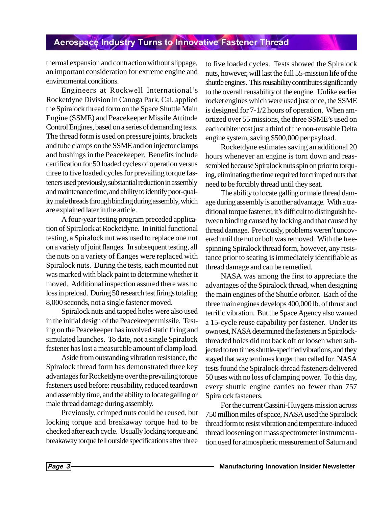## **Aerospace Industry Turns to Innovative Fastener Thread**

thermal expansion and contraction without slippage, an important consideration for extreme engine and environmental conditions.

Engineers at Rockwell International's Rocketdyne Division in Canoga Park, Cal. applied the Spiralock thread form on the Space Shuttle Main Engine (SSME) and Peacekeeper Missile Attitude Control Engines, based on a series of demanding tests. The thread form is used on pressure joints, brackets and tube clamps on the SSME and on injector clamps and bushings in the Peacekeeper. Benefits include certification for 50 loaded cycles of operation versus three to five loaded cycles for prevailing torque fasteners used previously, substantial reduction in assembly and maintenance time, and ability to identify poor-quality male threads through binding during assembly, which are explained later in the article.

A four-year testing program preceded application of Spiralock at Rocketdyne. In initial functional testing, a Spiralock nut was used to replace one nut on a variety of joint flanges. In subsequent testing, all the nuts on a variety of flanges were replaced with Spiralock nuts. During the tests, each mounted nut was marked with black paint to determine whether it moved. Additional inspection assured there was no loss in preload. During 50 research test firings totaling 8,000 seconds, not a single fastener moved.

Spiralock nuts and tapped holes were also used in the initial design of the Peacekeeper missile. Testing on the Peacekeeper has involved static firing and simulated launches. To date, not a single Spiralock fastener has lost a measurable amount of clamp load.

Aside from outstanding vibration resistance, the Spiralock thread form has demonstrated three key advantages for Rocketdyne over the prevailing torque fasteners used before: reusability, reduced teardown and assembly time, and the ability to locate galling or male thread damage during assembly.

Previously, crimped nuts could be reused, but locking torque and breakaway torque had to be checked after each cycle. Usually locking torque and breakaway torque fell outside specifications after three

to five loaded cycles. Tests showed the Spiralock nuts, however, will last the full 55-mission life of the shuttle engines. This reusability contributes significantly to the overall reusability of the engine. Unlike earlier rocket engines which were used just once, the SSME is designed for 7-1/2 hours of operation. When amortized over 55 missions, the three SSME's used on each orbiter cost just a third of the non-reusable Delta engine system, saving \$500,000 per payload.

Rocketdyne estimates saving an additional 20 hours whenever an engine is torn down and reassembled because Spiralock nuts spin on prior to torquing, eliminating the time required for crimped nuts that need to be forcibly thread until they seat.

The ability to locate galling or male thread damage during assembly is another advantage. With a traditional torque fastener, it's difficult to distinguish between binding caused by locking and that caused by thread damage. Previously, problems weren't uncovered until the nut or bolt was removed. With the freespinning Spiralock thread form, however, any resistance prior to seating is immediately identifiable as thread damage and can be remedied.

NASA was among the first to appreciate the advantages of the Spiralock thread, when designing the main engines of the Shuttle orbiter. Each of the three main engines develops 400,000 lb. of thrust and terrific vibration. But the Space Agency also wanted a 15-cycle reuse capability per fastener. Under its own test, NASA determined the fasteners in Spiralockthreaded holes did not back off or loosen when subjected to ten times shuttle-specified vibrations, and they stayed that way ten times longer than called for. NASA tests found the Spiralock-thread fasteners delivered 50 uses with no loss of clamping power. To this day, every shuttle engine carries no fewer than 757 Spiralock fasteners.

For the current Cassini-Huygens mission across 750 million miles of space, NASA used the Spiralock thread form to resist vibration and temperature-induced thread loosening on mass spectrometer instrumentation used for atmospheric measurement of Saturn and